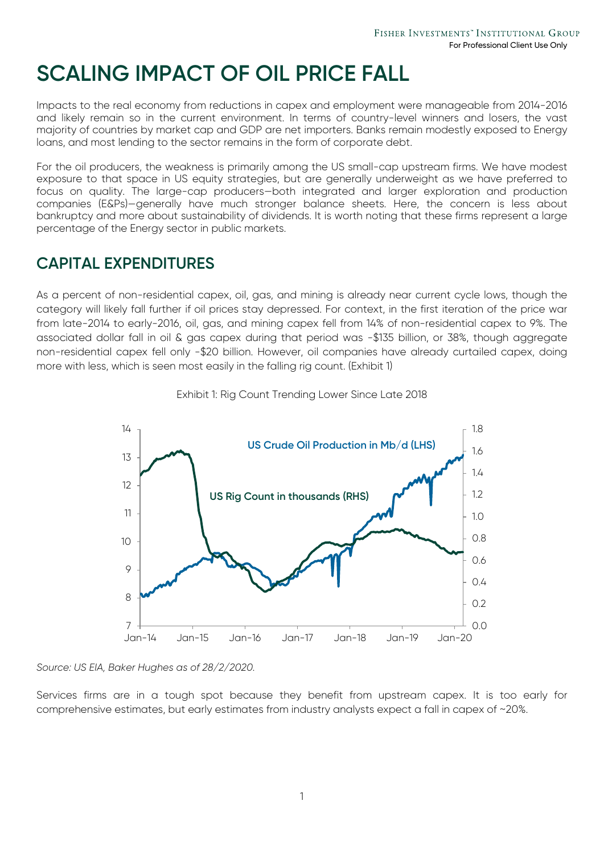# **SCALING IMPACT OF OIL PRICE FALL**

Impacts to the real economy from reductions in capex and employment were manageable from 2014-2016 and likely remain so in the current environment. In terms of country-level winners and losers, the vast majority of countries by market cap and GDP are net importers. Banks remain modestly exposed to Energy loans, and most lending to the sector remains in the form of corporate debt.

For the oil producers, the weakness is primarily among the US small-cap upstream firms. We have modest exposure to that space in US equity strategies, but are generally underweight as we have preferred to focus on quality. The large-cap producers—both integrated and larger exploration and production companies (E&Ps)—generally have much stronger balance sheets. Here, the concern is less about bankruptcy and more about sustainability of dividends. It is worth noting that these firms represent a large percentage of the Energy sector in public markets.

#### **CAPITAL EXPENDITURES**

As a percent of non-residential capex, oil, gas, and mining is already near current cycle lows, though the category will likely fall further if oil prices stay depressed. For context, in the first iteration of the price war from late-2014 to early-2016, oil, gas, and mining capex fell from 14% of non-residential capex to 9%. The associated dollar fall in oil & gas capex during that period was -\$135 billion, or 38%, though aggregate non-residential capex fell only -\$20 billion. However, oil companies have already curtailed capex, doing more with less, which is seen most easily in the falling rig count. (Exhibit 1)



Exhibit 1: Rig Count Trending Lower Since Late 2018

*Source: US EIA, Baker Hughes as of 28/2/2020.*

Services firms are in a tough spot because they benefit from upstream capex. It is too early for comprehensive estimates, but early estimates from industry analysts expect a fall in capex of ~20%.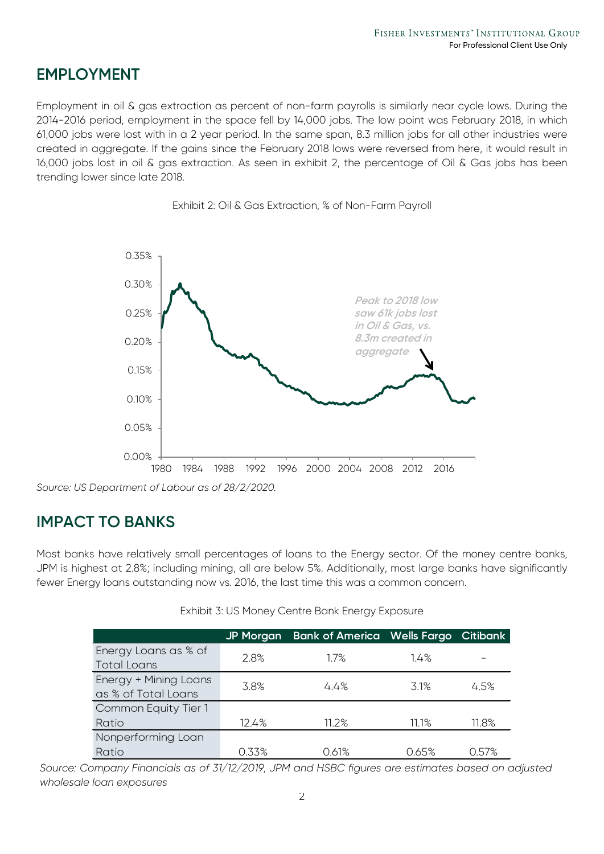#### **EMPLOYMENT**

Employment in oil & gas extraction as percent of non-farm payrolls is similarly near cycle lows. During the 2014-2016 period, employment in the space fell by 14,000 jobs. The low point was February 2018, in which 61,000 jobs were lost with in a 2 year period. In the same span, 8.3 million jobs for all other industries were created in aggregate. If the gains since the February 2018 lows were reversed from here, it would result in 16,000 jobs lost in oil & gas extraction. As seen in exhibit 2, the percentage of Oil & Gas jobs has been trending lower since late 2018.





#### **IMPACT TO BANKS**

Most banks have relatively small percentages of loans to the Energy sector. Of the money centre banks, JPM is highest at 2.8%; including mining, all are below 5%. Additionally, most large banks have significantly fewer Energy loans outstanding now vs. 2016, the last time this was a common concern.

|                                              | <b>JP Morgan</b> | <b>Bank of America Wells Fargo Citibank</b> |       |       |
|----------------------------------------------|------------------|---------------------------------------------|-------|-------|
| Energy Loans as % of<br><b>Total Loans</b>   | 2.8%             | 1.7%                                        | 14%   |       |
| Energy + Mining Loans<br>as % of Total Loans | 3.8%             | 4.4%                                        | 3.1%  | 4.5%  |
| Common Equity Tier 1                         |                  |                                             |       |       |
| Ratio                                        | 12.4%            | $11.2\%$                                    | 11.1% | 11.8% |
| Nonperforming Loan                           |                  |                                             |       |       |
| Ratio                                        | 0.33%            | 0.61%                                       | 0.65% | 0.57% |

Exhibit 3: US Money Centre Bank Energy Exposure

*Source: Company Financials as of 31/12/2019, JPM and HSBC figures are estimates based on adjusted wholesale loan exposures*

*Source: US Department of Labour as of 28/2/2020.*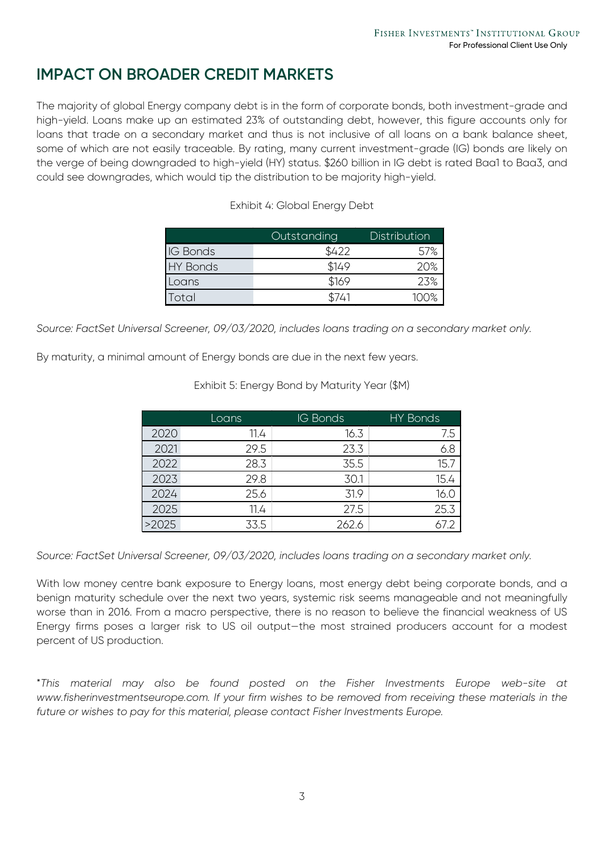### **IMPACT ON BROADER CREDIT MARKETS**

The majority of global Energy company debt is in the form of corporate bonds, both investment-grade and high-yield. Loans make up an estimated 23% of outstanding debt, however, this figure accounts only for loans that trade on a secondary market and thus is not inclusive of all loans on a bank balance sheet, some of which are not easily traceable. By rating, many current investment-grade (IG) bonds are likely on the verge of being downgraded to high-yield (HY) status. \$260 billion in IG debt is rated Baa1 to Baa3, and could see downgrades, which would tip the distribution to be majority high-yield.

|                 | Outstanding | Distribution |
|-----------------|-------------|--------------|
| <b>IG Bonds</b> |             |              |
| <b>HY Bonds</b> | \$149       | 20%          |
| Loans           | \$169       | 23%          |
| ntal            |             |              |

Exhibit 4: Global Energy Debt

*Source: FactSet Universal Screener, 09/03/2020, includes loans trading on a secondary market only.*

By maturity, a minimal amount of Energy bonds are due in the next few years.

Exhibit 5: Energy Bond by Maturity Year (\$M)

|       | Loans | <b>IG Bonds</b> | <b>HY Bonds</b> |
|-------|-------|-----------------|-----------------|
| 2020  | 11.4  | 16.3            | 7.5             |
| 2021  | 29.5  | 23.3            | 6.8             |
| 2022  | 28.3  | 35.5            | 15.7            |
| 2023  | 29.8  | 30.1            | 15.4            |
| 2024  | 25.6  | 31.9            | 16.0            |
| 2025  | 11.4  | 27.5            | 25.3            |
| >2025 | 33.5  | 262.6           |                 |

*Source: FactSet Universal Screener, 09/03/2020, includes loans trading on a secondary market only.*

With low money centre bank exposure to Energy loans, most energy debt being corporate bonds, and a benign maturity schedule over the next two years, systemic risk seems manageable and not meaningfully worse than in 2016. From a macro perspective, there is no reason to believe the financial weakness of US Energy firms poses a larger risk to US oil output—the most strained producers account for a modest percent of US production.

\**This material may also be found posted on the Fisher Investments Europe web-site at www.fisherinvestmentseurope.com. If your firm wishes to be removed from receiving these materials in the future or wishes to pay for this material, please contact Fisher Investments Europe.*